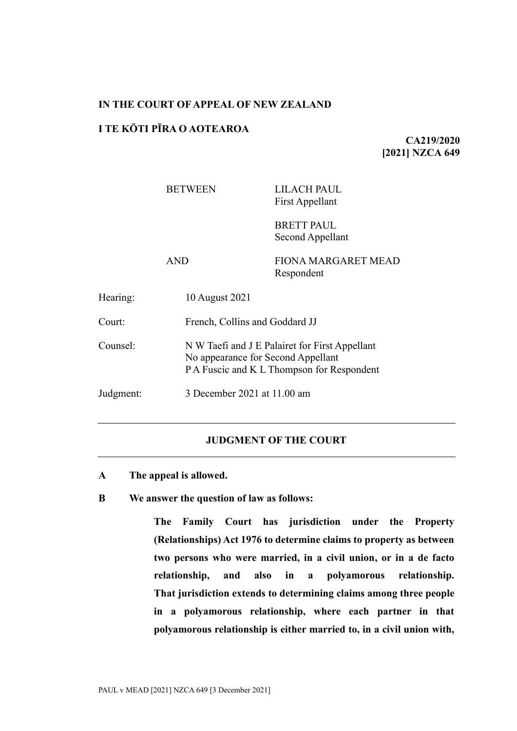# **IN THE COURT OF APPEAL OF NEW ZEALAND**

# **I TE KŌTI PĪRA O AOTEAROA**

**CA219/2020 [2021] NZCA 649**

# BETWEEN LILACH PAUL First Appellant

BRETT PAUL Second Appellant

AND FIONA MARGARET MEAD Respondent

| Hearing:  | 10 August 2021                                                                                                                     |
|-----------|------------------------------------------------------------------------------------------------------------------------------------|
| Court:    | French, Collins and Goddard JJ                                                                                                     |
| Counsel:  | N W Taefi and J E Palairet for First Appellant<br>No appearance for Second Appellant<br>P A Fuscic and K L Thompson for Respondent |
| Judgment: | 3 December 2021 at 11.00 am                                                                                                        |

#### **JUDGMENT OF THE COURT**

**A The appeal is allowed.**

**B We answer the question of law as follows:**

**The Family Court has jurisdiction under the Property (Relationships) Act 1976 to determine claims to property as between two persons who were married, in a civil union, or in a de facto relationship, and also in a polyamorous relationship. That jurisdiction extends to determining claims among three people in a polyamorous relationship, where each partner in that polyamorous relationship is either married to, in a civil union with,**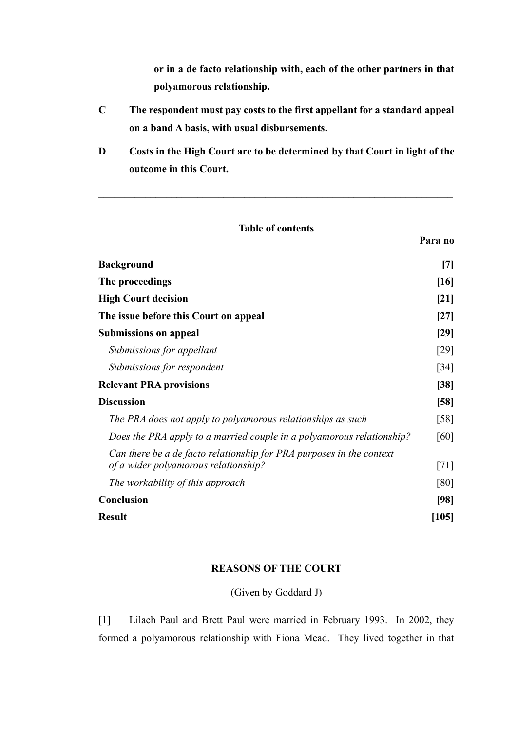**or in a de facto relationship with, each of the other partners in that polyamorous relationship.**

- **C The respondent must pay costs to the first appellant for a standard appeal on a band A basis, with usual disbursements.**
- **D Costs in the High Court are to be determined by that Court in light of the outcome in this Court.**

| <b>Table of contents</b>                                                                                     |                    |  |
|--------------------------------------------------------------------------------------------------------------|--------------------|--|
|                                                                                                              | Para no            |  |
| <b>Background</b>                                                                                            |                    |  |
| The proceedings                                                                                              |                    |  |
| <b>High Court decision</b>                                                                                   |                    |  |
| The issue before this Court on appeal                                                                        |                    |  |
| <b>Submissions on appeal</b>                                                                                 |                    |  |
| Submissions for appellant                                                                                    | [29]               |  |
| Submissions for respondent                                                                                   | $\left[34\right]$  |  |
| <b>Relevant PRA provisions</b>                                                                               |                    |  |
| <b>Discussion</b>                                                                                            |                    |  |
| The PRA does not apply to polyamorous relationships as such                                                  | $\lceil 58 \rceil$ |  |
| Does the PRA apply to a married couple in a polyamorous relationship?                                        | [60]               |  |
| Can there be a de facto relationship for PRA purposes in the context<br>of a wider polyamorous relationship? | [71]               |  |
| The workability of this approach                                                                             | [80]               |  |
| Conclusion                                                                                                   |                    |  |
| <b>Result</b>                                                                                                | [105]              |  |

### **REASONS OF THE COURT**

(Given by Goddard J)

[1] Lilach Paul and Brett Paul were married in February 1993. In 2002, they formed a polyamorous relationship with Fiona Mead. They lived together in that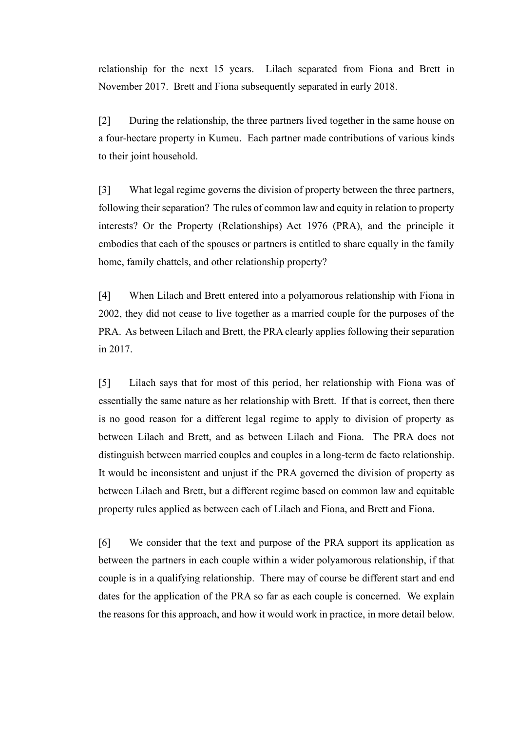relationship for the next 15 years. Lilach separated from Fiona and Brett in November 2017. Brett and Fiona subsequently separated in early 2018.

[2] During the relationship, the three partners lived together in the same house on a four-hectare property in Kumeu. Each partner made contributions of various kinds to their joint household.

[3] What legal regime governs the division of property between the three partners, following their separation? The rules of common law and equity in relation to property interests? Or the Property (Relationships) Act 1976 (PRA), and the principle it embodies that each of the spouses or partners is entitled to share equally in the family home, family chattels, and other relationship property?

[4] When Lilach and Brett entered into a polyamorous relationship with Fiona in 2002, they did not cease to live together as a married couple for the purposes of the PRA. As between Lilach and Brett, the PRA clearly applies following their separation in 2017.

[5] Lilach says that for most of this period, her relationship with Fiona was of essentially the same nature as her relationship with Brett. If that is correct, then there is no good reason for a different legal regime to apply to division of property as between Lilach and Brett, and as between Lilach and Fiona. The PRA does not distinguish between married couples and couples in a long-term de facto relationship. It would be inconsistent and unjust if the PRA governed the division of property as between Lilach and Brett, but a different regime based on common law and equitable property rules applied as between each of Lilach and Fiona, and Brett and Fiona.

[6] We consider that the text and purpose of the PRA support its application as between the partners in each couple within a wider polyamorous relationship, if that couple is in a qualifying relationship. There may of course be different start and end dates for the application of the PRA so far as each couple is concerned. We explain the reasons for this approach, and how it would work in practice, in more detail below.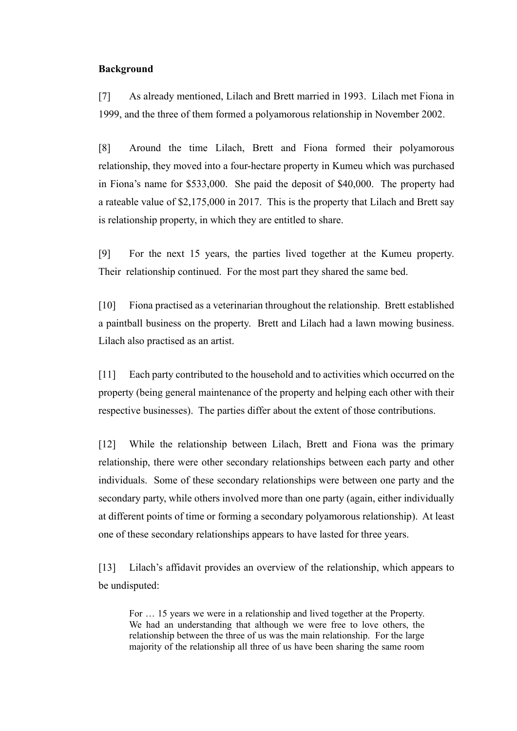## <span id="page-3-0"></span>**Background**

[7] As already mentioned, Lilach and Brett married in 1993. Lilach met Fiona in 1999, and the three of them formed a polyamorous relationship in November 2002.

[8] Around the time Lilach, Brett and Fiona formed their polyamorous relationship, they moved into a four-hectare property in Kumeu which was purchased in Fiona's name for \$533,000. She paid the deposit of \$40,000. The property had a rateable value of \$2,175,000 in 2017. This is the property that Lilach and Brett say is relationship property, in which they are entitled to share.

[9] For the next 15 years, the parties lived together at the Kumeu property. Their relationship continued. For the most part they shared the same bed.

[10] Fiona practised as a veterinarian throughout the relationship. Brett established a paintball business on the property. Brett and Lilach had a lawn mowing business. Lilach also practised as an artist.

[11] Each party contributed to the household and to activities which occurred on the property (being general maintenance of the property and helping each other with their respective businesses). The parties differ about the extent of those contributions.

[12] While the relationship between Lilach, Brett and Fiona was the primary relationship, there were other secondary relationships between each party and other individuals. Some of these secondary relationships were between one party and the secondary party, while others involved more than one party (again, either individually at different points of time or forming a secondary polyamorous relationship). At least one of these secondary relationships appears to have lasted for three years.

[13] Lilach's affidavit provides an overview of the relationship, which appears to be undisputed:

For … 15 years we were in a relationship and lived together at the Property. We had an understanding that although we were free to love others, the relationship between the three of us was the main relationship. For the large majority of the relationship all three of us have been sharing the same room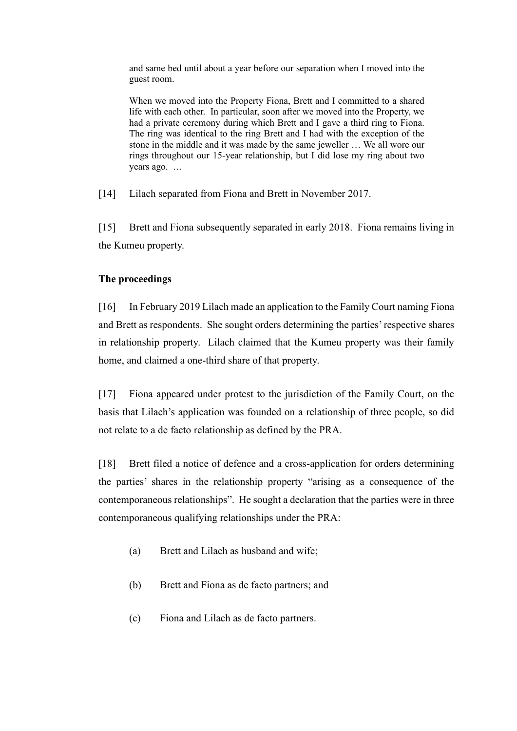and same bed until about a year before our separation when I moved into the guest room.

When we moved into the Property Fiona, Brett and I committed to a shared life with each other. In particular, soon after we moved into the Property, we had a private ceremony during which Brett and I gave a third ring to Fiona. The ring was identical to the ring Brett and I had with the exception of the stone in the middle and it was made by the same jeweller … We all wore our rings throughout our 15-year relationship, but I did lose my ring about two years ago. …

[14] Lilach separated from Fiona and Brett in November 2017.

[15] Brett and Fiona subsequently separated in early 2018. Fiona remains living in the Kumeu property.

# <span id="page-4-0"></span>**The proceedings**

[16] In February 2019 Lilach made an application to the Family Court naming Fiona and Brett as respondents. She sought orders determining the parties' respective shares in relationship property. Lilach claimed that the Kumeu property was their family home, and claimed a one-third share of that property.

[17] Fiona appeared under protest to the jurisdiction of the Family Court, on the basis that Lilach's application was founded on a relationship of three people, so did not relate to a de facto relationship as defined by the PRA.

[18] Brett filed a notice of defence and a cross-application for orders determining the parties' shares in the relationship property "arising as a consequence of the contemporaneous relationships". He sought a declaration that the parties were in three contemporaneous qualifying relationships under the PRA:

- (a) Brett and Lilach as husband and wife;
- (b) Brett and Fiona as de facto partners; and
- (c) Fiona and Lilach as de facto partners.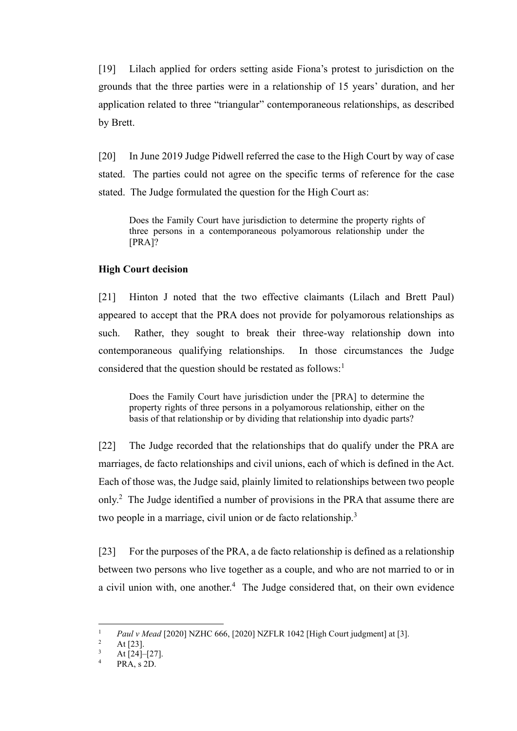[19] Lilach applied for orders setting aside Fiona's protest to jurisdiction on the grounds that the three parties were in a relationship of 15 years' duration, and her application related to three "triangular" contemporaneous relationships, as described by Brett.

[20] In June 2019 Judge Pidwell referred the case to the High Court by way of case stated. The parties could not agree on the specific terms of reference for the case stated. The Judge formulated the question for the High Court as:

Does the Family Court have jurisdiction to determine the property rights of three persons in a contemporaneous polyamorous relationship under the [PRA]?

### <span id="page-5-0"></span>**High Court decision**

[21] Hinton J noted that the two effective claimants (Lilach and Brett Paul) appeared to accept that the PRA does not provide for polyamorous relationships as such. Rather, they sought to break their three-way relationship down into contemporaneous qualifying relationships. In those circumstances the Judge considered that the question should be restated as follows:<sup>1</sup>

<span id="page-5-1"></span>Does the Family Court have jurisdiction under the [PRA] to determine the property rights of three persons in a polyamorous relationship, either on the basis of that relationship or by dividing that relationship into dyadic parts?

[22] The Judge recorded that the relationships that do qualify under the PRA are marriages, de facto relationships and civil unions, each of which is defined in the Act. Each of those was, the Judge said, plainly limited to relationships between two people only.<sup>2</sup> The Judge identified a number of provisions in the PRA that assume there are two people in a marriage, civil union or de facto relationship.<sup>3</sup>

[23] For the purposes of the PRA, a de facto relationship is defined as a relationship between two persons who live together as a couple, and who are not married to or in a civil union with, one another.<sup>4</sup> The Judge considered that, on their own evidence

<sup>&</sup>lt;sup>1</sup> *Paul v Mead* [2020] NZHC 666, [2020] NZFLR 1042 [High Court judgment] at [3].

 $\frac{2}{3}$  At [23].

 $\frac{3}{4}$  At [24]-[27].

PRA, s 2D.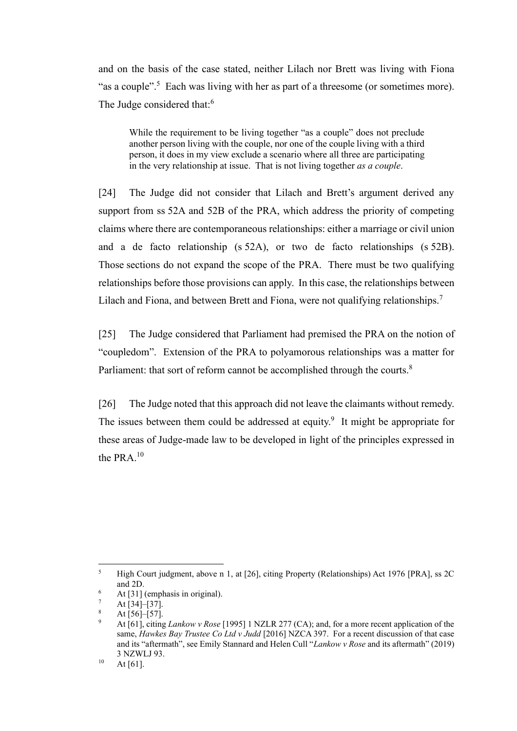and on the basis of the case stated, neither Lilach nor Brett was living with Fiona "as a couple".<sup>5</sup> Each was living with her as part of a threesome (or sometimes more). The Judge considered that:<sup>6</sup>

While the requirement to be living together "as a couple" does not preclude another person living with the couple, nor one of the couple living with a third person, it does in my view exclude a scenario where all three are participating in the very relationship at issue. That is not living together *as a couple*.

[24] The Judge did not consider that Lilach and Brett's argument derived any support from ss 52A and 52B of the PRA, which address the priority of competing claims where there are contemporaneous relationships: either a marriage or civil union and a de facto relationship (s 52A), or two de facto relationships (s 52B). Those sections do not expand the scope of the PRA. There must be two qualifying relationships before those provisions can apply. In this case, the relationships between Lilach and Fiona, and between Brett and Fiona, were not qualifying relationships.<sup>7</sup>

[25] The Judge considered that Parliament had premised the PRA on the notion of "coupledom". Extension of the PRA to polyamorous relationships was a matter for Parliament: that sort of reform cannot be accomplished through the courts.<sup>8</sup>

<span id="page-6-0"></span>[26] The Judge noted that this approach did not leave the claimants without remedy. The issues between them could be addressed at equity. $9$  It might be appropriate for these areas of Judge-made law to be developed in light of the principles expressed in the PRA.<sup>10</sup>

<sup>&</sup>lt;sup>5</sup> High Court judgment, above n [1,](#page-5-1) at [26], citing Property (Relationships) Act 1976 [PRA], ss 2C and 2D.

<sup>6</sup> At [31] (emphasis in original).

At [34]–[37].

At [56]–[57].

<sup>9</sup> At [61], citing *Lankow v Rose* [1995] 1 NZLR 277 (CA); and, for a more recent application of the same, *Hawkes Bay Trustee Co Ltd v Judd* [2016] NZCA 397. For a recent discussion of that case and its "aftermath", see Emily Stannard and Helen Cull "*Lankow v Rose* and its aftermath" (2019) 3 NZWLJ 93.

 $10$  At [61].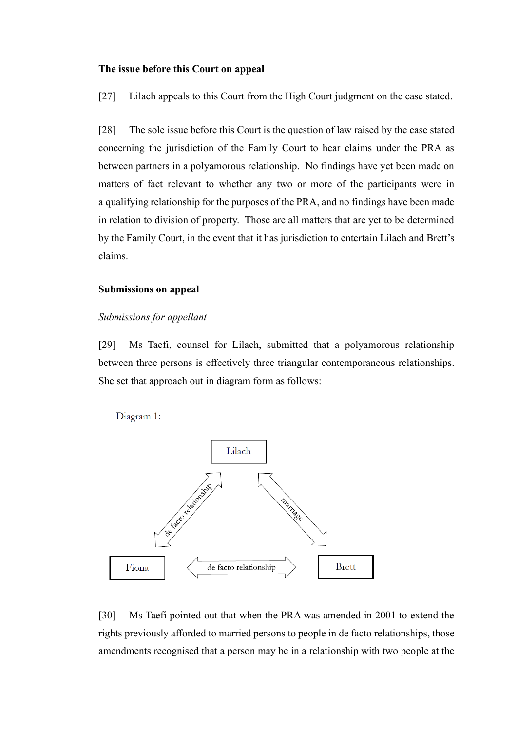#### <span id="page-7-0"></span>**The issue before this Court on appeal**

[27] Lilach appeals to this Court from the High Court judgment on the case stated.

[28] The sole issue before this Court is the question of law raised by the case stated concerning the jurisdiction of the Family Court to hear claims under the PRA as between partners in a polyamorous relationship. No findings have yet been made on matters of fact relevant to whether any two or more of the participants were in a qualifying relationship for the purposes of the PRA, and no findings have been made in relation to division of property. Those are all matters that are yet to be determined by the Family Court, in the event that it has jurisdiction to entertain Lilach and Brett's claims.

#### <span id="page-7-1"></span>**Submissions on appeal**

#### <span id="page-7-2"></span>*Submissions for appellant*

[29] Ms Taefi, counsel for Lilach, submitted that a polyamorous relationship between three persons is effectively three triangular contemporaneous relationships. She set that approach out in diagram form as follows:

Diagram 1:



[30] Ms Taefi pointed out that when the PRA was amended in 2001 to extend the rights previously afforded to married persons to people in de facto relationships, those amendments recognised that a person may be in a relationship with two people at the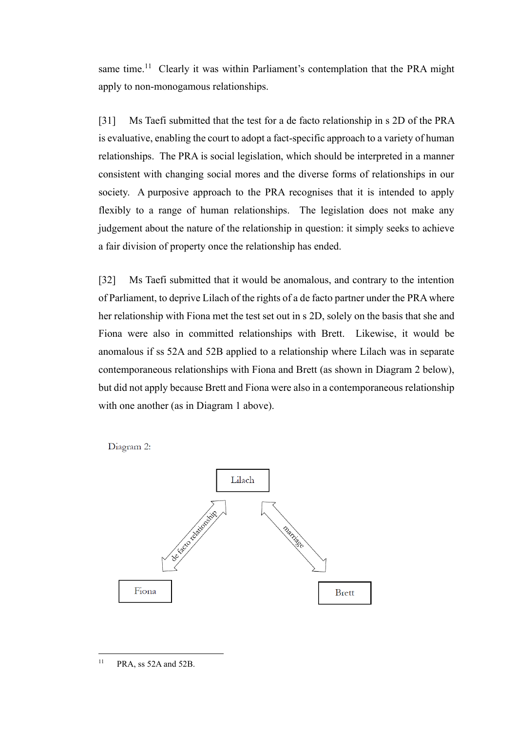same time.<sup>11</sup> Clearly it was within Parliament's contemplation that the PRA might apply to non-monogamous relationships.

[31] Ms Taefi submitted that the test for a de facto relationship in s 2D of the PRA is evaluative, enabling the court to adopt a fact-specific approach to a variety of human relationships. The PRA is social legislation, which should be interpreted in a manner consistent with changing social mores and the diverse forms of relationships in our society. A purposive approach to the PRA recognises that it is intended to apply flexibly to a range of human relationships. The legislation does not make any judgement about the nature of the relationship in question: it simply seeks to achieve a fair division of property once the relationship has ended.

[32] Ms Taefi submitted that it would be anomalous, and contrary to the intention of Parliament, to deprive Lilach of the rights of a de facto partner under the PRA where her relationship with Fiona met the test set out in s 2D, solely on the basis that she and Fiona were also in committed relationships with Brett. Likewise, it would be anomalous if ss 52A and 52B applied to a relationship where Lilach was in separate contemporaneous relationships with Fiona and Brett (as shown in Diagram 2 below), but did not apply because Brett and Fiona were also in a contemporaneous relationship with one another (as in Diagram 1 above).

Diagram 2:



 $11$  PRA, ss 52A and 52B.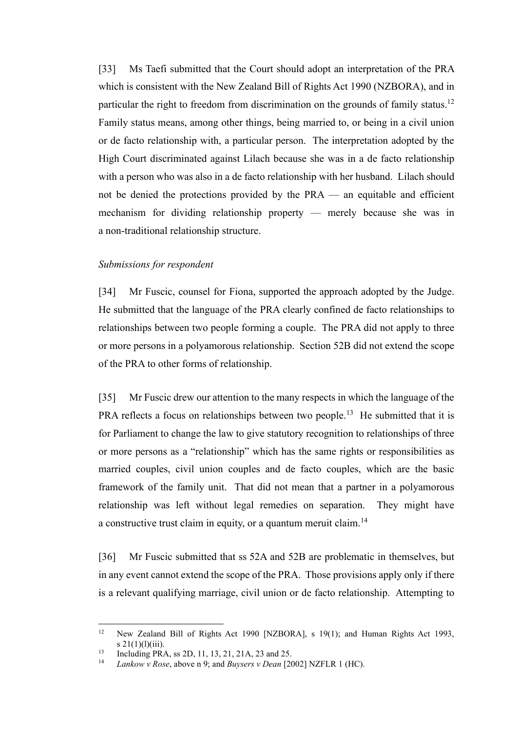[33] Ms Taefi submitted that the Court should adopt an interpretation of the PRA which is consistent with the New Zealand Bill of Rights Act 1990 (NZBORA), and in particular the right to freedom from discrimination on the grounds of family status.<sup>12</sup> Family status means, among other things, being married to, or being in a civil union or de facto relationship with, a particular person. The interpretation adopted by the High Court discriminated against Lilach because she was in a de facto relationship with a person who was also in a de facto relationship with her husband. Lilach should not be denied the protections provided by the PRA — an equitable and efficient mechanism for dividing relationship property — merely because she was in a non-traditional relationship structure.

#### <span id="page-9-0"></span>*Submissions for respondent*

[34] Mr Fuscic, counsel for Fiona, supported the approach adopted by the Judge. He submitted that the language of the PRA clearly confined de facto relationships to relationships between two people forming a couple. The PRA did not apply to three or more persons in a polyamorous relationship. Section 52B did not extend the scope of the PRA to other forms of relationship.

[35] Mr Fuscic drew our attention to the many respects in which the language of the PRA reflects a focus on relationships between two people.<sup>13</sup> He submitted that it is for Parliament to change the law to give statutory recognition to relationships of three or more persons as a "relationship" which has the same rights or responsibilities as married couples, civil union couples and de facto couples, which are the basic framework of the family unit. That did not mean that a partner in a polyamorous relationship was left without legal remedies on separation. They might have a constructive trust claim in equity, or a quantum meruit claim.<sup>14</sup>

[36] Mr Fuscic submitted that ss 52A and 52B are problematic in themselves, but in any event cannot extend the scope of the PRA. Those provisions apply only if there is a relevant qualifying marriage, civil union or de facto relationship. Attempting to

<sup>&</sup>lt;sup>12</sup> New Zealand Bill of Rights Act 1990 [NZBORA], s 19(1); and Human Rights Act 1993, s  $21(1)(1)(iii)$ .

<sup>13</sup> Including PRA, ss 2D, 11, 13, 21, 21A, 23 and 25.

<sup>14</sup> *Lankow v Rose*, above n [9;](#page-6-0) and *Buysers v Dean* [2002] NZFLR 1 (HC).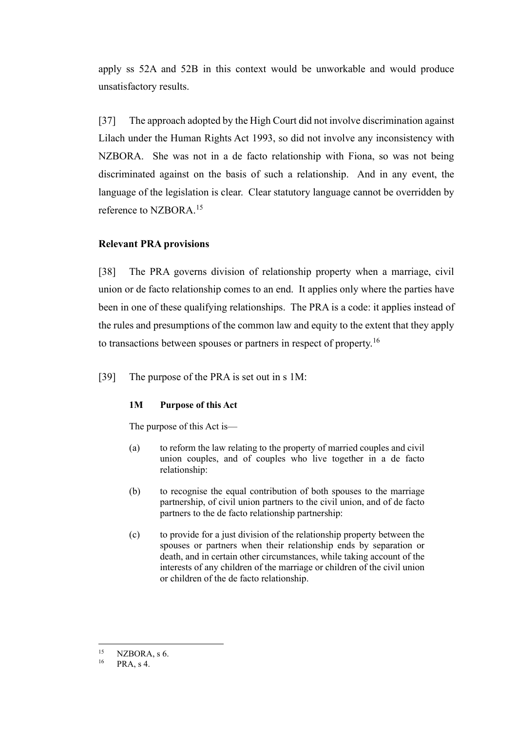apply ss 52A and 52B in this context would be unworkable and would produce unsatisfactory results.

[37] The approach adopted by the High Court did not involve discrimination against Lilach under the Human Rights Act 1993, so did not involve any inconsistency with NZBORA. She was not in a de facto relationship with Fiona, so was not being discriminated against on the basis of such a relationship. And in any event, the language of the legislation is clear. Clear statutory language cannot be overridden by reference to NZBORA.<sup>15</sup>

# <span id="page-10-0"></span>**Relevant PRA provisions**

[38] The PRA governs division of relationship property when a marriage, civil union or de facto relationship comes to an end. It applies only where the parties have been in one of these qualifying relationships. The PRA is a code: it applies instead of the rules and presumptions of the common law and equity to the extent that they apply to transactions between spouses or partners in respect of property.<sup>16</sup>

[39] The purpose of the PRA is set out in s 1M:

# **1M Purpose of this Act**

The purpose of this Act is—

- (a) to reform the law relating to the property of married couples and civil union couples, and of couples who live together in a de facto relationship:
- (b) to recognise the equal contribution of both spouses to the marriage partnership, of civil union partners to the civil union, and of de facto partners to the de facto relationship partnership:
- (c) to provide for a just division of the relationship property between the spouses or partners when their relationship ends by separation or death, and in certain other circumstances, while taking account of the interests of any children of the marriage or children of the civil union or children of the de facto relationship.

<sup>&</sup>lt;sup>15</sup> NZBORA, s 6.<br><sup>16</sup> PRA s 4

PRA, s 4.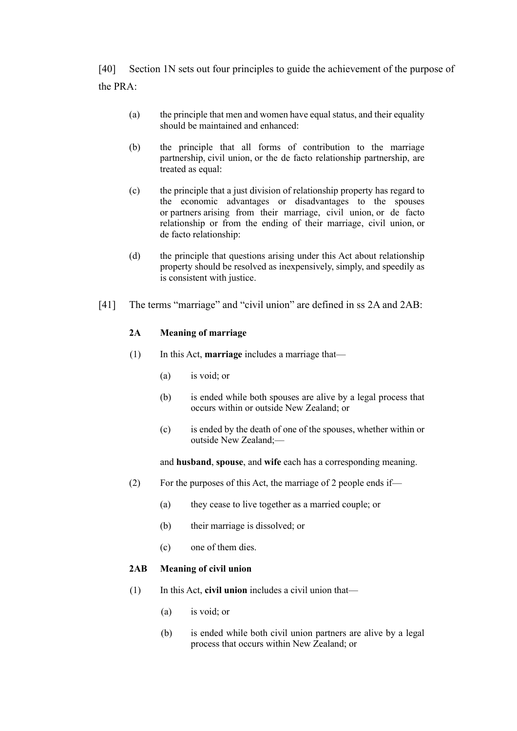[40] Section 1N sets out four principles to guide the achievement of the purpose of the PRA:

- (a) the principle that men and women have equal status, and their equality should be maintained and enhanced:
- (b) the principle that all forms of contribution to the marriage partnership, civil union, or the de facto relationship partnership, are treated as equal:
- (c) the principle that a just division of relationship property has regard to the economic advantages or disadvantages to the spouses or partners arising from their marriage, civil union, or de facto relationship or from the ending of their marriage, civil union, or de facto relationship:
- (d) the principle that questions arising under this Act about relationship property should be resolved as inexpensively, simply, and speedily as is consistent with justice.
- <span id="page-11-0"></span>[41] The terms "marriage" and "civil union" are defined in ss 2A and 2AB:

#### **2A Meaning of marriage**

- (1) In this Act, **marriage** includes a marriage that—
	- (a) is void; or
	- (b) is ended while both spouses are alive by a legal process that occurs within or outside New Zealand; or
	- (c) is ended by the death of one of the spouses, whether within or outside New Zealand;—

and **husband**, **spouse**, and **wife** each has a corresponding meaning.

- (2) For the purposes of this Act, the marriage of 2 people ends if—
	- (a) they cease to live together as a married couple; or
	- (b) their marriage is dissolved; or
	- (c) one of them dies.

### **2AB Meaning of civil union**

- (1) In this Act, **civil union** includes a civil union that—
	- (a) is void; or
	- (b) is ended while both civil union partners are alive by a legal process that occurs within New Zealand; or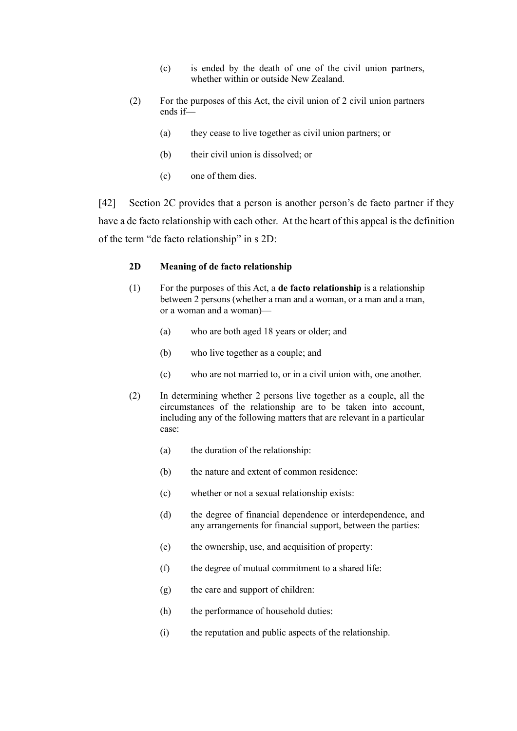- (c) is ended by the death of one of the civil union partners, whether within or outside New Zealand.
- (2) For the purposes of this Act, the civil union of 2 civil union partners ends if—
	- (a) they cease to live together as civil union partners; or
	- (b) their civil union is dissolved; or
	- (c) one of them dies.

[42] Section 2C provides that a person is another person's de facto partner if they have a de facto relationship with each other. At the heart of this appeal is the definition of the term "de facto relationship" in s 2D:

#### **2D Meaning of de facto relationship**

- (1) For the purposes of this Act, a **de facto relationship** is a relationship between 2 persons (whether a man and a woman, or a man and a man, or a woman and a woman)—
	- (a) who are both aged 18 years or older; and
	- (b) who live together as a couple; and
	- (c) who are not married to, or in a civil union with, one another.
- (2) In determining whether 2 persons live together as a couple, all the circumstances of the relationship are to be taken into account, including any of the following matters that are relevant in a particular case:
	- (a) the duration of the relationship:
	- (b) the nature and extent of common residence:
	- (c) whether or not a sexual relationship exists:
	- (d) the degree of financial dependence or interdependence, and any arrangements for financial support, between the parties:
	- (e) the ownership, use, and acquisition of property:
	- (f) the degree of mutual commitment to a shared life:
	- (g) the care and support of children:
	- (h) the performance of household duties:
	- (i) the reputation and public aspects of the relationship.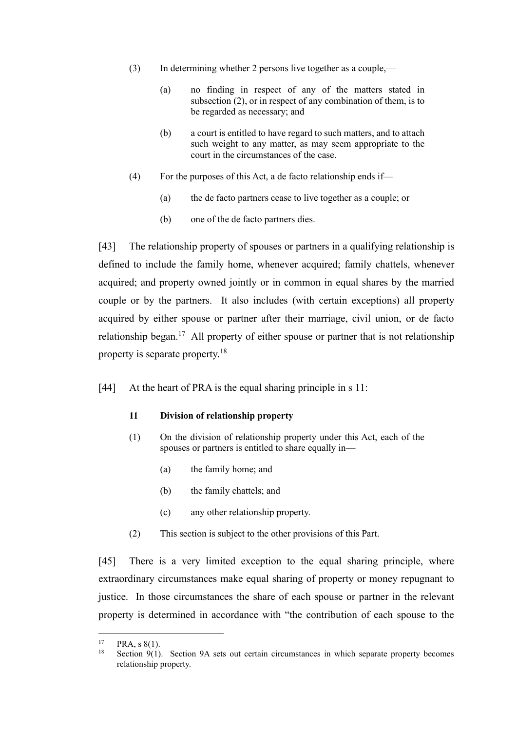- (3) In determining whether 2 persons live together as a couple,—
	- (a) no finding in respect of any of the matters stated in subsection (2), or in respect of any combination of them, is to be regarded as necessary; and
	- (b) a court is entitled to have regard to such matters, and to attach such weight to any matter, as may seem appropriate to the court in the circumstances of the case.
- (4) For the purposes of this Act, a de facto relationship ends if—
	- (a) the de facto partners cease to live together as a couple; or
	- (b) one of the de facto partners dies.

[43] The relationship property of spouses or partners in a qualifying relationship is defined to include the family home, whenever acquired; family chattels, whenever acquired; and property owned jointly or in common in equal shares by the married couple or by the partners. It also includes (with certain exceptions) all property acquired by either spouse or partner after their marriage, civil union, or de facto relationship began.<sup>17</sup> All property of either spouse or partner that is not relationship property is separate property.<sup>18</sup>

[44] At the heart of PRA is the equal sharing principle in s 11:

# **11 Division of relationship property**

- (1) On the division of relationship property under this Act, each of the spouses or partners is entitled to share equally in—
	- (a) the family home; and
	- (b) the family chattels; and
	- (c) any other relationship property.
- (2) This section is subject to the other provisions of this Part.

[45] There is a very limited exception to the equal sharing principle, where extraordinary circumstances make equal sharing of property or money repugnant to justice. In those circumstances the share of each spouse or partner in the relevant property is determined in accordance with "the contribution of each spouse to the

<sup>&</sup>lt;sup>17</sup> PRA, s 8(1).<br><sup>18</sup> Section 9(1)

Section 9(1). Section 9A sets out certain circumstances in which separate property becomes relationship property.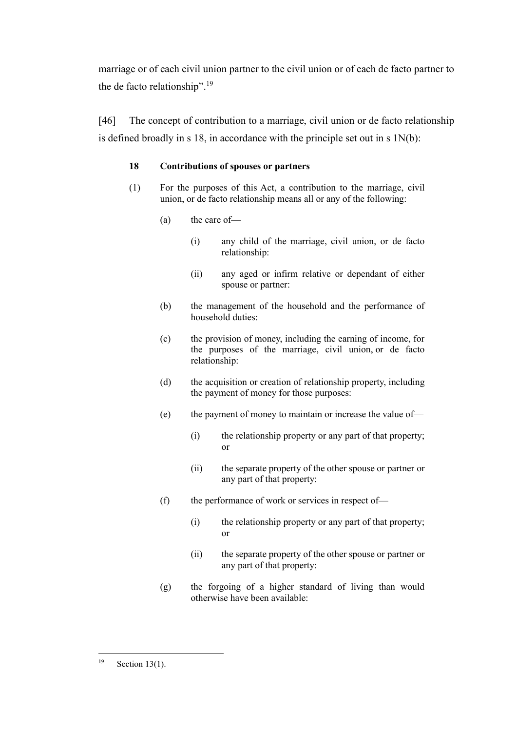marriage or of each civil union partner to the civil union or of each de facto partner to the de facto relationship".<sup>19</sup>

[46] The concept of contribution to a marriage, civil union or de facto relationship is defined broadly in s 18, in accordance with the principle set out in s 1N(b):

# **18 Contributions of spouses or partners**

- (1) For the purposes of this Act, a contribution to the marriage, civil union, or de facto relationship means all or any of the following:
	- (a) the care of—
		- (i) any child of the marriage, civil union, or de facto relationship:
		- (ii) any aged or infirm relative or dependant of either spouse or partner:
	- (b) the management of the household and the performance of household duties:
	- (c) the provision of money, including the earning of income, for the purposes of the marriage, civil union, or de facto relationship:
	- (d) the acquisition or creation of relationship property, including the payment of money for those purposes:
	- (e) the payment of money to maintain or increase the value of—
		- (i) the relationship property or any part of that property; or
		- (ii) the separate property of the other spouse or partner or any part of that property:
	- (f) the performance of work or services in respect of—
		- (i) the relationship property or any part of that property; or
		- (ii) the separate property of the other spouse or partner or any part of that property:
	- (g) the forgoing of a higher standard of living than would otherwise have been available:

 $19$  Section 13(1).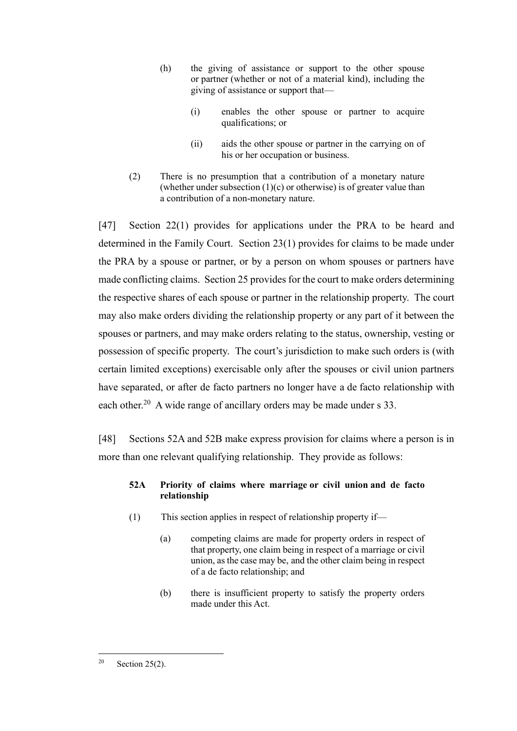- (h) the giving of assistance or support to the other spouse or partner (whether or not of a material kind), including the giving of assistance or support that—
	- (i) enables the other spouse or partner to acquire qualifications; or
	- (ii) aids the other spouse or partner in the carrying on of his or her occupation or business.
- (2) There is no presumption that a contribution of a monetary nature (whether under subsection  $(1)(c)$  or otherwise) is of greater value than a contribution of a non-monetary nature.

[47] Section 22(1) provides for applications under the PRA to be heard and determined in the Family Court. Section 23(1) provides for claims to be made under the PRA by a spouse or partner, or by a person on whom spouses or partners have made conflicting claims. Section 25 provides for the court to make orders determining the respective shares of each spouse or partner in the relationship property. The court may also make orders dividing the relationship property or any part of it between the spouses or partners, and may make orders relating to the status, ownership, vesting or possession of specific property. The court's jurisdiction to make such orders is (with certain limited exceptions) exercisable only after the spouses or civil union partners have separated, or after de facto partners no longer have a de facto relationship with each other.<sup>20</sup> A wide range of ancillary orders may be made under s 33.

[48] Sections 52A and 52B make express provision for claims where a person is in more than one relevant qualifying relationship. They provide as follows:

# **52A Priority of claims where marriage or civil union and de facto relationship**

- (1) This section applies in respect of relationship property if—
	- (a) competing claims are made for property orders in respect of that property, one claim being in respect of a marriage or civil union, as the case may be, and the other claim being in respect of a de facto relationship; and
	- (b) there is insufficient property to satisfy the property orders made under this Act.

 $20$  Section 25(2).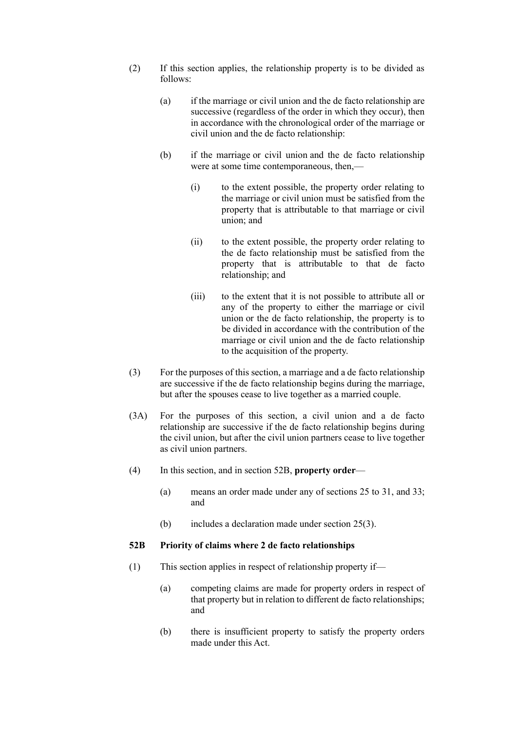- (2) If this section applies, the relationship property is to be divided as follows:
	- (a) if the marriage or civil union and the de facto relationship are successive (regardless of the order in which they occur), then in accordance with the chronological order of the marriage or civil union and the de facto relationship:
	- (b) if the marriage or civil union and the de facto relationship were at some time contemporaneous, then,—
		- (i) to the extent possible, the property order relating to the marriage or civil union must be satisfied from the property that is attributable to that marriage or civil union; and
		- (ii) to the extent possible, the property order relating to the de facto relationship must be satisfied from the property that is attributable to that de facto relationship; and
		- (iii) to the extent that it is not possible to attribute all or any of the property to either the marriage or civil union or the de facto relationship, the property is to be divided in accordance with the contribution of the marriage or civil union and the de facto relationship to the acquisition of the property.
- (3) For the purposes of this section, a marriage and a de facto relationship are successive if the de facto relationship begins during the marriage, but after the spouses cease to live together as a married couple.
- (3A) For the purposes of this section, a civil union and a de facto relationship are successive if the de facto relationship begins during the civil union, but after the civil union partners cease to live together as civil union partners.
- (4) In this section, and in section 52B, **property order**
	- (a) means an order made under any of sections 25 to 31, and 33; and
	- (b) includes a declaration made under section 25(3).

#### **52B Priority of claims where 2 de facto relationships**

- (1) This section applies in respect of relationship property if—
	- (a) competing claims are made for property orders in respect of that property but in relation to different de facto relationships; and
	- (b) there is insufficient property to satisfy the property orders made under this Act.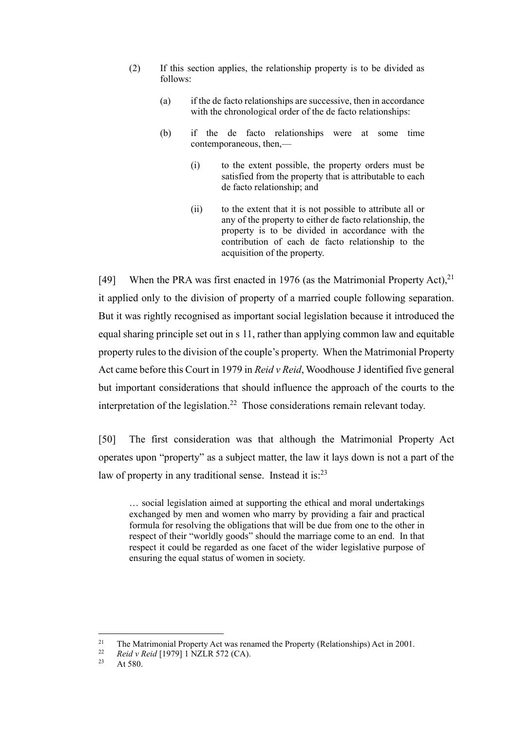- (2) If this section applies, the relationship property is to be divided as follows:
	- (a) if the de facto relationships are successive, then in accordance with the chronological order of the de facto relationships:
	- (b) if the de facto relationships were at some time contemporaneous, then,—
		- (i) to the extent possible, the property orders must be satisfied from the property that is attributable to each de facto relationship; and
		- (ii) to the extent that it is not possible to attribute all or any of the property to either de facto relationship, the property is to be divided in accordance with the contribution of each de facto relationship to the acquisition of the property.

[49] When the PRA was first enacted in 1976 (as the Matrimonial Property Act),  $2^1$ it applied only to the division of property of a married couple following separation. But it was rightly recognised as important social legislation because it introduced the equal sharing principle set out in s 11, rather than applying common law and equitable property rules to the division of the couple's property. When the Matrimonial Property Act came before this Court in 1979 in *Reid v Reid*, Woodhouse J identified five general but important considerations that should influence the approach of the courts to the interpretation of the legislation.<sup>22</sup> Those considerations remain relevant today.

<span id="page-17-1"></span><span id="page-17-0"></span>[50] The first consideration was that although the Matrimonial Property Act operates upon "property" as a subject matter, the law it lays down is not a part of the law of property in any traditional sense. Instead it is:<sup>23</sup>

… social legislation aimed at supporting the ethical and moral undertakings exchanged by men and women who marry by providing a fair and practical formula for resolving the obligations that will be due from one to the other in respect of their "worldly goods" should the marriage come to an end. In that respect it could be regarded as one facet of the wider legislative purpose of ensuring the equal status of women in society.

<sup>&</sup>lt;sup>21</sup> The Matrimonial Property Act was renamed the Property (Relationships) Act in 2001.

<sup>&</sup>lt;sup>22</sup> *Reid v Reid* [1979] 1 NZLR 572 (CA).<br><sup>23</sup> At 580

At 580.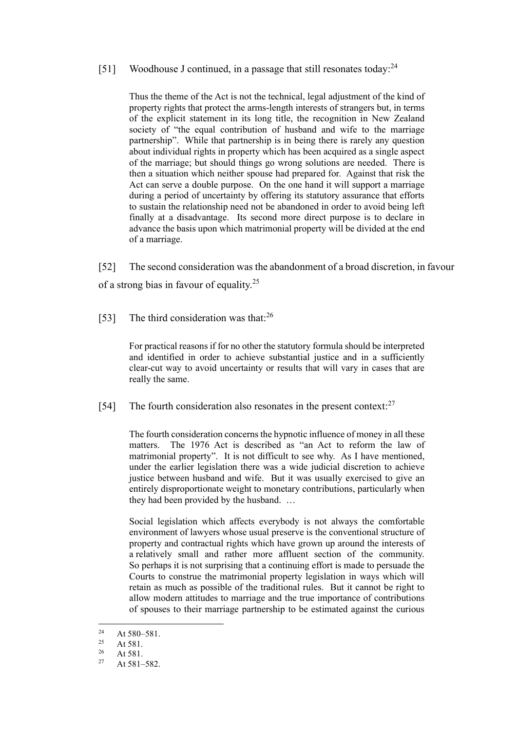#### [51] Woodhouse J continued, in a passage that still resonates today:<sup>24</sup>

Thus the theme of the Act is not the technical, legal adjustment of the kind of property rights that protect the arms-length interests of strangers but, in terms of the explicit statement in its long title, the recognition in New Zealand society of "the equal contribution of husband and wife to the marriage partnership". While that partnership is in being there is rarely any question about individual rights in property which has been acquired as a single aspect of the marriage; but should things go wrong solutions are needed. There is then a situation which neither spouse had prepared for. Against that risk the Act can serve a double purpose. On the one hand it will support a marriage during a period of uncertainty by offering its statutory assurance that efforts to sustain the relationship need not be abandoned in order to avoid being left finally at a disadvantage. Its second more direct purpose is to declare in advance the basis upon which matrimonial property will be divided at the end of a marriage.

[52] The second consideration was the abandonment of a broad discretion, in favour of a strong bias in favour of equality.<sup>25</sup>

[53] The third consideration was that:<sup>26</sup>

For practical reasons if for no other the statutory formula should be interpreted and identified in order to achieve substantial justice and in a sufficiently clear-cut way to avoid uncertainty or results that will vary in cases that are really the same.

[54] The fourth consideration also resonates in the present context: $27$ 

The fourth consideration concerns the hypnotic influence of money in all these matters. The 1976 Act is described as "an Act to reform the law of matrimonial property". It is not difficult to see why. As I have mentioned, under the earlier legislation there was a wide judicial discretion to achieve justice between husband and wife. But it was usually exercised to give an entirely disproportionate weight to monetary contributions, particularly when they had been provided by the husband. …

Social legislation which affects everybody is not always the comfortable environment of lawyers whose usual preserve is the conventional structure of property and contractual rights which have grown up around the interests of a relatively small and rather more affluent section of the community. So perhaps it is not surprising that a continuing effort is made to persuade the Courts to construe the matrimonial property legislation in ways which will retain as much as possible of the traditional rules. But it cannot be right to allow modern attitudes to marriage and the true importance of contributions of spouses to their marriage partnership to be estimated against the curious

<sup>&</sup>lt;sup>24</sup> At 580–581.

<sup>&</sup>lt;sup>25</sup> At 581.

 $\frac{26}{27}$  At 581.

 $At 581–582.$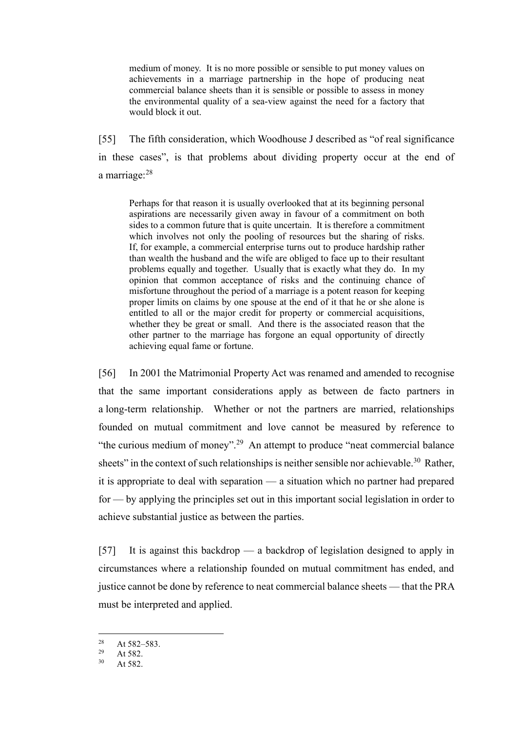medium of money. It is no more possible or sensible to put money values on achievements in a marriage partnership in the hope of producing neat commercial balance sheets than it is sensible or possible to assess in money the environmental quality of a sea-view against the need for a factory that would block it out.

<span id="page-19-0"></span>[55] The fifth consideration, which Woodhouse J described as "of real significance in these cases", is that problems about dividing property occur at the end of a marriage:<sup>28</sup>

Perhaps for that reason it is usually overlooked that at its beginning personal aspirations are necessarily given away in favour of a commitment on both sides to a common future that is quite uncertain. It is therefore a commitment which involves not only the pooling of resources but the sharing of risks. If, for example, a commercial enterprise turns out to produce hardship rather than wealth the husband and the wife are obliged to face up to their resultant problems equally and together. Usually that is exactly what they do. In my opinion that common acceptance of risks and the continuing chance of misfortune throughout the period of a marriage is a potent reason for keeping proper limits on claims by one spouse at the end of it that he or she alone is entitled to all or the major credit for property or commercial acquisitions, whether they be great or small. And there is the associated reason that the other partner to the marriage has forgone an equal opportunity of directly achieving equal fame or fortune.

[56] In 2001 the Matrimonial Property Act was renamed and amended to recognise that the same important considerations apply as between de facto partners in a long-term relationship. Whether or not the partners are married, relationships founded on mutual commitment and love cannot be measured by reference to "the curious medium of money".<sup>29</sup> An attempt to produce "neat commercial balance" sheets" in the context of such relationships is neither sensible nor achievable.<sup>30</sup> Rather, it is appropriate to deal with separation — a situation which no partner had prepared for — by applying the principles set out in this important social legislation in order to achieve substantial justice as between the parties.

[57] It is against this backdrop — a backdrop of legislation designed to apply in circumstances where a relationship founded on mutual commitment has ended, and justice cannot be done by reference to neat commercial balance sheets — that the PRA must be interpreted and applied.

<sup>&</sup>lt;sup>28</sup> At 582–583.

 $29$  At 582.<br>  $30$  At 582.

At 582.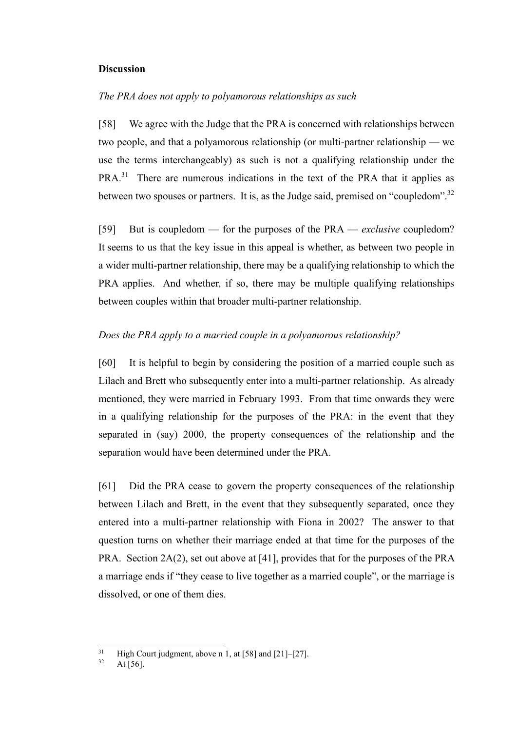#### <span id="page-20-0"></span>**Discussion**

#### <span id="page-20-1"></span>*The PRA does not apply to polyamorous relationships as such*

[58] We agree with the Judge that the PRA is concerned with relationships between two people, and that a polyamorous relationship (or multi-partner relationship — we use the terms interchangeably) as such is not a qualifying relationship under the PRA.<sup>31</sup> There are numerous indications in the text of the PRA that it applies as between two spouses or partners. It is, as the Judge said, premised on "coupledom".<sup>32</sup>

[59] But is coupledom — for the purposes of the PRA — *exclusive* coupledom? It seems to us that the key issue in this appeal is whether, as between two people in a wider multi-partner relationship, there may be a qualifying relationship to which the PRA applies. And whether, if so, there may be multiple qualifying relationships between couples within that broader multi-partner relationship.

### <span id="page-20-2"></span>*Does the PRA apply to a married couple in a polyamorous relationship?*

[60] It is helpful to begin by considering the position of a married couple such as Lilach and Brett who subsequently enter into a multi-partner relationship. As already mentioned, they were married in February 1993. From that time onwards they were in a qualifying relationship for the purposes of the PRA: in the event that they separated in (say) 2000, the property consequences of the relationship and the separation would have been determined under the PRA.

[61] Did the PRA cease to govern the property consequences of the relationship between Lilach and Brett, in the event that they subsequently separated, once they entered into a multi-partner relationship with Fiona in 2002? The answer to that question turns on whether their marriage ended at that time for the purposes of the PRA. Section 2A(2), set out above at [\[41\],](#page-11-0) provides that for the purposes of the PRA a marriage ends if "they cease to live together as a married couple", or the marriage is dissolved, or one of them dies.

<sup>&</sup>lt;sup>31</sup> High Court judgment, above n [1,](#page-5-1) at [58] and [21]–[27].

At  $\overline{[56]}$ .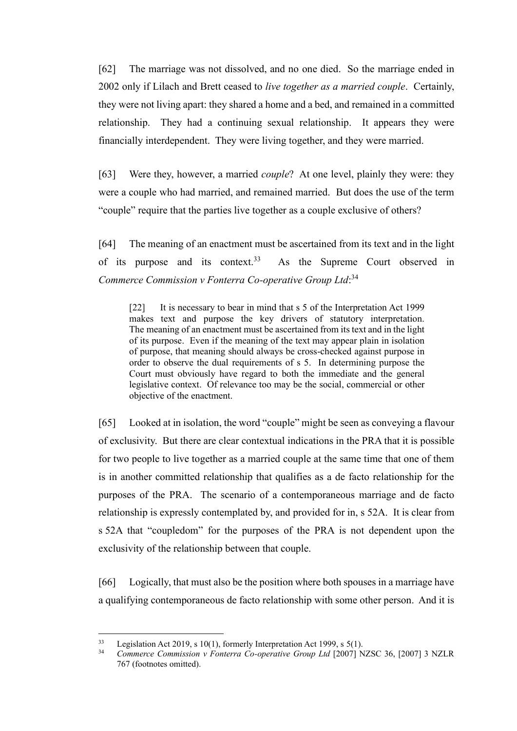[62] The marriage was not dissolved, and no one died. So the marriage ended in 2002 only if Lilach and Brett ceased to *live together as a married couple*. Certainly, they were not living apart: they shared a home and a bed, and remained in a committed relationship. They had a continuing sexual relationship. It appears they were financially interdependent. They were living together, and they were married.

[63] Were they, however, a married *couple*? At one level, plainly they were: they were a couple who had married, and remained married. But does the use of the term "couple" require that the parties live together as a couple exclusive of others?

[64] The meaning of an enactment must be ascertained from its text and in the light of its purpose and its context.<sup>33</sup> As the Supreme Court observed in *Commerce Commission v Fonterra Co-operative Group Ltd*: 34

[22] It is necessary to bear in mind that s 5 of the Interpretation Act 1999 makes text and purpose the key drivers of statutory interpretation. The meaning of an enactment must be ascertained from its text and in the light of its purpose. Even if the meaning of the text may appear plain in isolation of purpose, that meaning should always be cross-checked against purpose in order to observe the dual requirements of s 5. In determining purpose the Court must obviously have regard to both the immediate and the general legislative context. Of relevance too may be the social, commercial or other objective of the enactment.

[65] Looked at in isolation, the word "couple" might be seen as conveying a flavour of exclusivity. But there are clear contextual indications in the PRA that it is possible for two people to live together as a married couple at the same time that one of them is in another committed relationship that qualifies as a de facto relationship for the purposes of the PRA. The scenario of a contemporaneous marriage and de facto relationship is expressly contemplated by, and provided for in, s 52A. It is clear from s 52A that "coupledom" for the purposes of the PRA is not dependent upon the exclusivity of the relationship between that couple.

[66] Logically, that must also be the position where both spouses in a marriage have a qualifying contemporaneous de facto relationship with some other person. And it is

<sup>&</sup>lt;sup>33</sup> Legislation Act 2019, s 10(1), formerly Interpretation Act 1999, s 5(1).<br><sup>34</sup> Commarce Commission v Fonterra Co operative Group *Ltd* 120071 N

<sup>34</sup> *Commerce Commission v Fonterra Co-operative Group Ltd* [2007] NZSC 36, [2007] 3 NZLR 767 (footnotes omitted).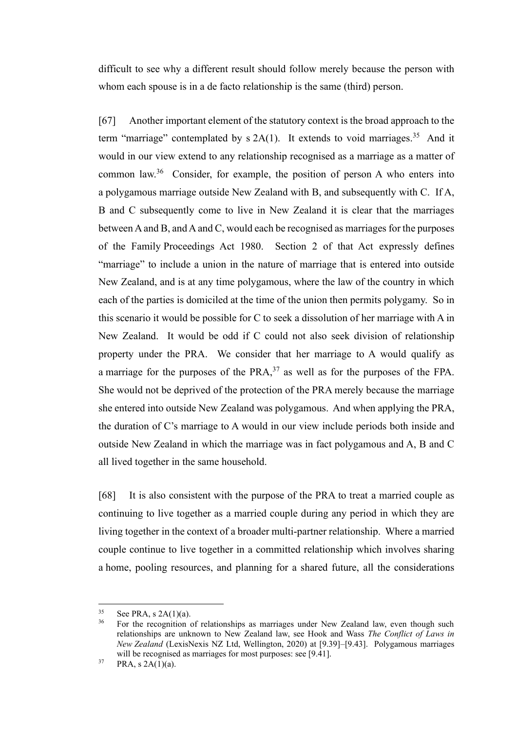difficult to see why a different result should follow merely because the person with whom each spouse is in a de facto relationship is the same (third) person.

[67] Another important element of the statutory context is the broad approach to the term "marriage" contemplated by  $s$  2A(1). It extends to void marriages.<sup>35</sup> And it would in our view extend to any relationship recognised as a marriage as a matter of common law.<sup>36</sup> Consider, for example, the position of person A who enters into a polygamous marriage outside New Zealand with B, and subsequently with C. If A, B and C subsequently come to live in New Zealand it is clear that the marriages between A and B, and A and C, would each be recognised as marriages for the purposes of the Family Proceedings Act 1980. Section 2 of that Act expressly defines "marriage" to include a union in the nature of marriage that is entered into outside New Zealand, and is at any time polygamous, where the law of the country in which each of the parties is domiciled at the time of the union then permits polygamy. So in this scenario it would be possible for C to seek a dissolution of her marriage with A in New Zealand. It would be odd if C could not also seek division of relationship property under the PRA. We consider that her marriage to A would qualify as a marriage for the purposes of the  $PRA$ ,  $37$  as well as for the purposes of the FPA. She would not be deprived of the protection of the PRA merely because the marriage she entered into outside New Zealand was polygamous. And when applying the PRA, the duration of C's marriage to A would in our view include periods both inside and outside New Zealand in which the marriage was in fact polygamous and A, B and C all lived together in the same household.

[68] It is also consistent with the purpose of the PRA to treat a married couple as continuing to live together as a married couple during any period in which they are living together in the context of a broader multi-partner relationship. Where a married couple continue to live together in a committed relationship which involves sharing a home, pooling resources, and planning for a shared future, all the considerations

 $35$  See PRA, s 2A(1)(a).<br> $36$  Eor the recognition

<sup>36</sup> For the recognition of relationships as marriages under New Zealand law, even though such relationships are unknown to New Zealand law, see Hook and Wass *The Conflict of Laws in New Zealand* (LexisNexis NZ Ltd, Wellington, 2020) at [9.39]–[9.43]. Polygamous marriages will be recognised as marriages for most purposes: see [9.41].

 $37$  PRA, s  $2A(1)(a)$ .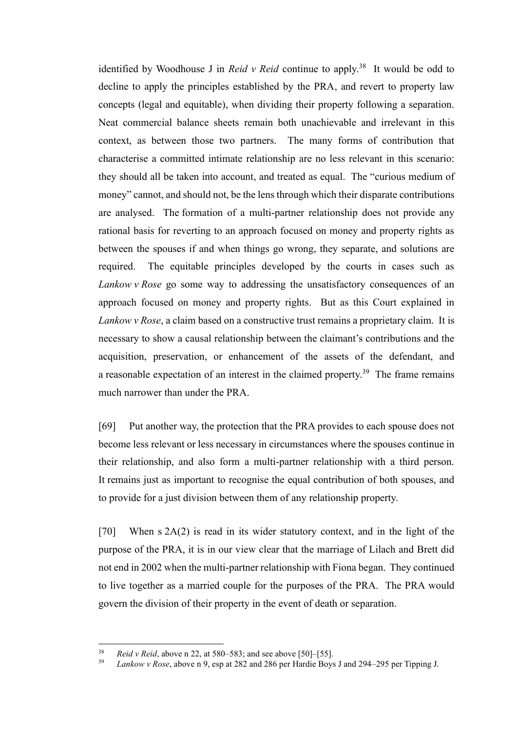identified by Woodhouse J in *Reid v Reid* continue to apply.<sup>38</sup> It would be odd to decline to apply the principles established by the PRA, and revert to property law concepts (legal and equitable), when dividing their property following a separation. Neat commercial balance sheets remain both unachievable and irrelevant in this context, as between those two partners. The many forms of contribution that characterise a committed intimate relationship are no less relevant in this scenario: they should all be taken into account, and treated as equal. The "curious medium of money" cannot, and should not, be the lens through which their disparate contributions are analysed. The formation of a multi-partner relationship does not provide any rational basis for reverting to an approach focused on money and property rights as between the spouses if and when things go wrong, they separate, and solutions are required. The equitable principles developed by the courts in cases such as *Lankow v Rose* go some way to addressing the unsatisfactory consequences of an approach focused on money and property rights. But as this Court explained in *Lankow v Rose*, a claim based on a constructive trust remains a proprietary claim. It is necessary to show a causal relationship between the claimant's contributions and the acquisition, preservation, or enhancement of the assets of the defendant, and a reasonable expectation of an interest in the claimed property.<sup>39</sup> The frame remains much narrower than under the PRA.

[69] Put another way, the protection that the PRA provides to each spouse does not become less relevant or less necessary in circumstances where the spouses continue in their relationship, and also form a multi-partner relationship with a third person. It remains just as important to recognise the equal contribution of both spouses, and to provide for a just division between them of any relationship property.

[70] When s 2A(2) is read in its wider statutory context, and in the light of the purpose of the PRA, it is in our view clear that the marriage of Lilach and Brett did not end in 2002 when the multi-partner relationship with Fiona began. They continued to live together as a married couple for the purposes of the PRA. The PRA would govern the division of their property in the event of death or separation.

 $\frac{38}{2}$  *Reid v Reid*, above [n 22,](#page-17-0) at 580–583; and see above [\[50\]–](#page-17-1)[\[55\].](#page-19-0)

<sup>39</sup> *Lankow v Rose*, above n [9,](#page-6-0) esp at 282 and 286 per Hardie Boys J and 294–295 per Tipping J.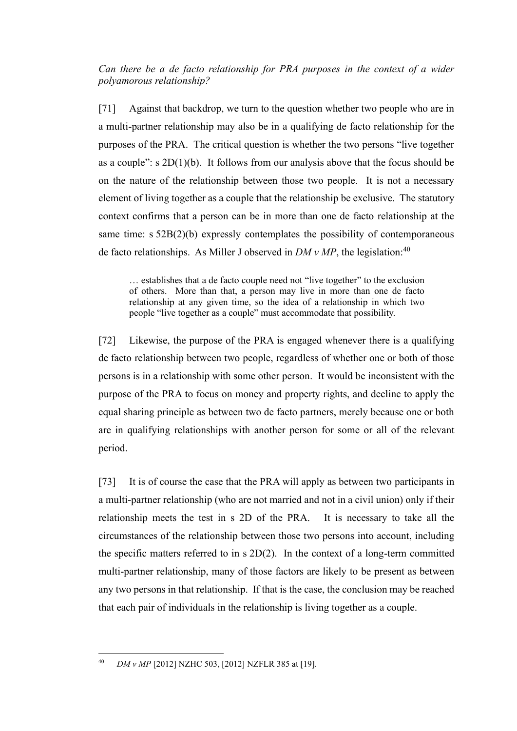<span id="page-24-0"></span>*Can there be a de facto relationship for PRA purposes in the context of a wider polyamorous relationship?*

<span id="page-24-1"></span>[71] Against that backdrop, we turn to the question whether two people who are in a multi-partner relationship may also be in a qualifying de facto relationship for the purposes of the PRA. The critical question is whether the two persons "live together as a couple":  $s 2D(1)(b)$ . It follows from our analysis above that the focus should be on the nature of the relationship between those two people. It is not a necessary element of living together as a couple that the relationship be exclusive. The statutory context confirms that a person can be in more than one de facto relationship at the same time: s 52B(2)(b) expressly contemplates the possibility of contemporaneous de facto relationships. As Miller J observed in *DM v MP*, the legislation: 40

<span id="page-24-2"></span>… establishes that a de facto couple need not "live together" to the exclusion of others. More than that, a person may live in more than one de facto relationship at any given time, so the idea of a relationship in which two people "live together as a couple" must accommodate that possibility.

[72] Likewise, the purpose of the PRA is engaged whenever there is a qualifying de facto relationship between two people, regardless of whether one or both of those persons is in a relationship with some other person. It would be inconsistent with the purpose of the PRA to focus on money and property rights, and decline to apply the equal sharing principle as between two de facto partners, merely because one or both are in qualifying relationships with another person for some or all of the relevant period.

[73] It is of course the case that the PRA will apply as between two participants in a multi-partner relationship (who are not married and not in a civil union) only if their relationship meets the test in s 2D of the PRA. It is necessary to take all the circumstances of the relationship between those two persons into account, including the specific matters referred to in s 2D(2). In the context of a long-term committed multi-partner relationship, many of those factors are likely to be present as between any two persons in that relationship. If that is the case, the conclusion may be reached that each pair of individuals in the relationship is living together as a couple.

<sup>40</sup> *DM v MP* [2012] NZHC 503, [2012] NZFLR 385 at [19].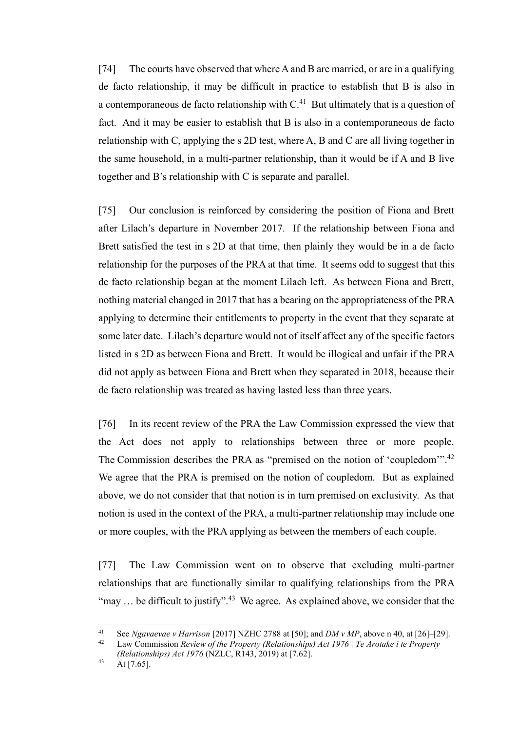[74] The courts have observed that where A and B are married, or are in a qualifying de facto relationship, it may be difficult in practice to establish that B is also in a contemporaneous de facto relationship with  $C<sup>41</sup>$  But ultimately that is a question of fact. And it may be easier to establish that B is also in a contemporaneous de facto relationship with C, applying the s 2D test, where A, B and C are all living together in the same household, in a multi-partner relationship, than it would be if A and B live together and B's relationship with C is separate and parallel.

[75] Our conclusion is reinforced by considering the position of Fiona and Brett after Lilach's departure in November 2017. If the relationship between Fiona and Brett satisfied the test in s 2D at that time, then plainly they would be in a de facto relationship for the purposes of the PRA at that time. It seems odd to suggest that this de facto relationship began at the moment Lilach left. As between Fiona and Brett, nothing material changed in 2017 that has a bearing on the appropriateness of the PRA applying to determine their entitlements to property in the event that they separate at some later date. Lilach's departure would not of itself affect any of the specific factors listed in s 2D as between Fiona and Brett. It would be illogical and unfair if the PRA did not apply as between Fiona and Brett when they separated in 2018, because their de facto relationship was treated as having lasted less than three years.

<span id="page-25-0"></span>[76] In its recent review of the PRA the Law Commission expressed the view that the Act does not apply to relationships between three or more people. The Commission describes the PRA as "premised on the notion of 'coupledom'".<sup>42</sup> We agree that the PRA is premised on the notion of coupledom. But as explained above, we do not consider that that notion is in turn premised on exclusivity. As that notion is used in the context of the PRA, a multi-partner relationship may include one or more couples, with the PRA applying as between the members of each couple.

[77] The Law Commission went on to observe that excluding multi-partner relationships that are functionally similar to qualifying relationships from the PRA "may ... be difficult to justify".<sup>43</sup> We agree. As explained above, we consider that the

<sup>41</sup> See *Ngavaevae v Harrison* [2017] NZHC 2788 at [50]; and *DM v MP*, above n [40,](#page-24-2) at [26]–[29].

<sup>42</sup> Law Commission *Review of the Property (Relationships) Act 1976 | Te Arotake i te Property (Relationships) Act 1976* (NZLC, R143, 2019) at [7.62].

 $43$  At [7.65].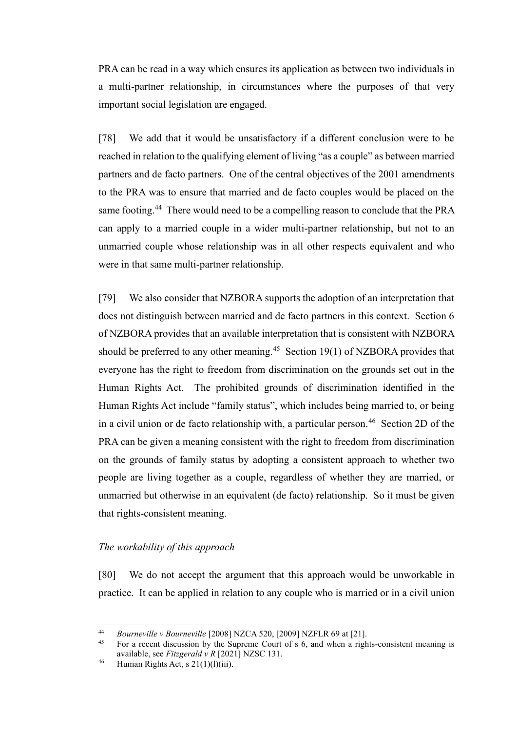PRA can be read in a way which ensures its application as between two individuals in a multi-partner relationship, in circumstances where the purposes of that very important social legislation are engaged.

[78] We add that it would be unsatisfactory if a different conclusion were to be reached in relation to the qualifying element of living "as a couple" as between married partners and de facto partners. One of the central objectives of the 2001 amendments to the PRA was to ensure that married and de facto couples would be placed on the same footing.<sup>44</sup> There would need to be a compelling reason to conclude that the PRA can apply to a married couple in a wider multi-partner relationship, but not to an unmarried couple whose relationship was in all other respects equivalent and who were in that same multi-partner relationship.

[79] We also consider that NZBORA supports the adoption of an interpretation that does not distinguish between married and de facto partners in this context. Section 6 of NZBORA provides that an available interpretation that is consistent with NZBORA should be preferred to any other meaning.<sup>45</sup> Section 19(1) of NZBORA provides that everyone has the right to freedom from discrimination on the grounds set out in the Human Rights Act. The prohibited grounds of discrimination identified in the Human Rights Act include "family status", which includes being married to, or being in a civil union or de facto relationship with, a particular person.<sup>46</sup> Section 2D of the PRA can be given a meaning consistent with the right to freedom from discrimination on the grounds of family status by adopting a consistent approach to whether two people are living together as a couple, regardless of whether they are married, or unmarried but otherwise in an equivalent (de facto) relationship. So it must be given that rights-consistent meaning.

#### <span id="page-26-0"></span>*The workability of this approach*

[80] We do not accept the argument that this approach would be unworkable in practice. It can be applied in relation to any couple who is married or in a civil union

<sup>44</sup> *Bourneville v Bourneville* [2008] NZCA 520, [2009] NZFLR 69 at [21].

<sup>45</sup> For a recent discussion by the Supreme Court of s 6, and when a rights-consistent meaning is available, see *Fitzgerald v R* [2021] NZSC 131.

<sup>&</sup>lt;sup>46</sup> Human Rights Act, s  $21(1)(1)(iii)$ .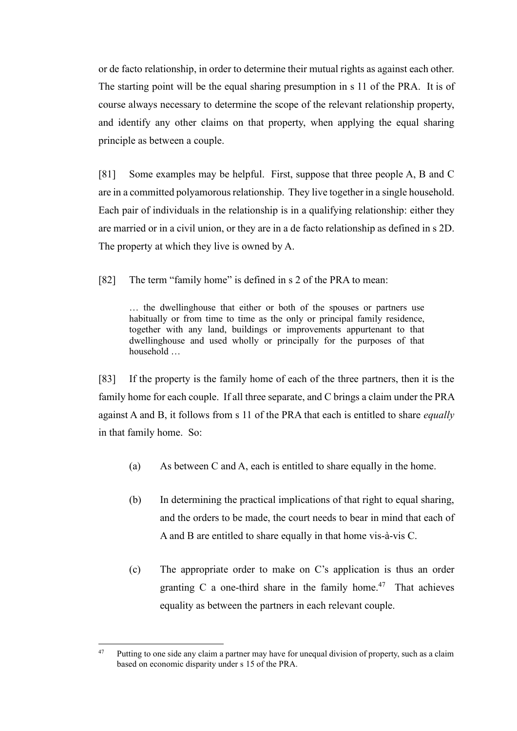or de facto relationship, in order to determine their mutual rights as against each other. The starting point will be the equal sharing presumption in s 11 of the PRA. It is of course always necessary to determine the scope of the relevant relationship property, and identify any other claims on that property, when applying the equal sharing principle as between a couple.

[81] Some examples may be helpful. First, suppose that three people A, B and C are in a committed polyamorous relationship. They live together in a single household. Each pair of individuals in the relationship is in a qualifying relationship: either they are married or in a civil union, or they are in a de facto relationship as defined in s 2D. The property at which they live is owned by A.

[82] The term "family home" is defined in s 2 of the PRA to mean:

… the dwellinghouse that either or both of the spouses or partners use habitually or from time to time as the only or principal family residence, together with any land, buildings or improvements appurtenant to that dwellinghouse and used wholly or principally for the purposes of that household …

[83] If the property is the family home of each of the three partners, then it is the family home for each couple. If all three separate, and C brings a claim under the PRA against A and B, it follows from s 11 of the PRA that each is entitled to share *equally* in that family home. So:

- (a) As between C and A, each is entitled to share equally in the home.
- (b) In determining the practical implications of that right to equal sharing, and the orders to be made, the court needs to bear in mind that each of A and B are entitled to share equally in that home vis-à-vis C.
- (c) The appropriate order to make on C's application is thus an order granting C a one-third share in the family home. $47$  That achieves equality as between the partners in each relevant couple.

<sup>&</sup>lt;sup>47</sup> Putting to one side any claim a partner may have for unequal division of property, such as a claim based on economic disparity under s 15 of the PRA.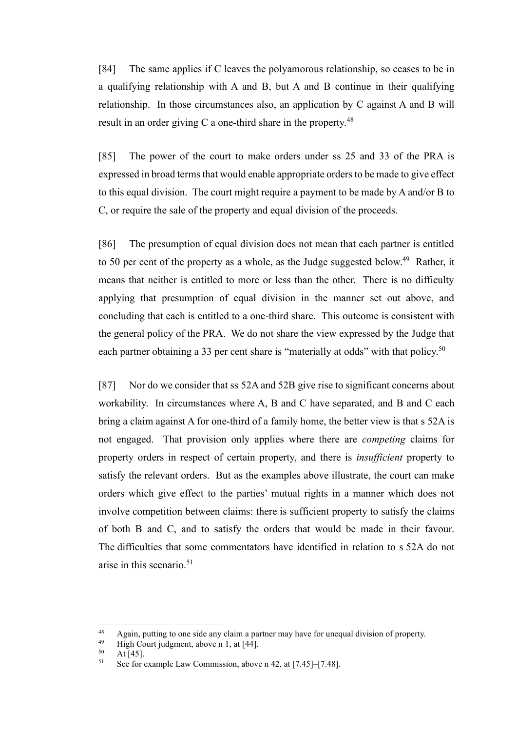[84] The same applies if C leaves the polyamorous relationship, so ceases to be in a qualifying relationship with A and B, but A and B continue in their qualifying relationship. In those circumstances also, an application by C against A and B will result in an order giving C a one-third share in the property. $48$ 

[85] The power of the court to make orders under ss 25 and 33 of the PRA is expressed in broad terms that would enable appropriate orders to be made to give effect to this equal division. The court might require a payment to be made by A and/or B to C, or require the sale of the property and equal division of the proceeds.

[86] The presumption of equal division does not mean that each partner is entitled to 50 per cent of the property as a whole, as the Judge suggested below.<sup>49</sup> Rather, it means that neither is entitled to more or less than the other. There is no difficulty applying that presumption of equal division in the manner set out above, and concluding that each is entitled to a one-third share. This outcome is consistent with the general policy of the PRA. We do not share the view expressed by the Judge that each partner obtaining a 33 per cent share is "materially at odds" with that policy.<sup>50</sup>

[87] Nor do we consider that ss 52A and 52B give rise to significant concerns about workability. In circumstances where A, B and C have separated, and B and C each bring a claim against A for one-third of a family home, the better view is that s 52A is not engaged. That provision only applies where there are *competing* claims for property orders in respect of certain property, and there is *insufficient* property to satisfy the relevant orders. But as the examples above illustrate, the court can make orders which give effect to the parties' mutual rights in a manner which does not involve competition between claims: there is sufficient property to satisfy the claims of both B and C, and to satisfy the orders that would be made in their favour. The difficulties that some commentators have identified in relation to s 52A do not arise in this scenario.<sup>51</sup>

<sup>48</sup> Again, putting to one side any claim a partner may have for unequal division of property.<br>49 High Court indemnate above n 1 at  $[44]$ 

<sup>&</sup>lt;sup>49</sup> High Court judgment, above n [1,](#page-5-1) at [44].

 $50$  At [45].<br> $51$  See for

See for example Law Commission, above n [42,](#page-25-0) at [7.45]–[7.48].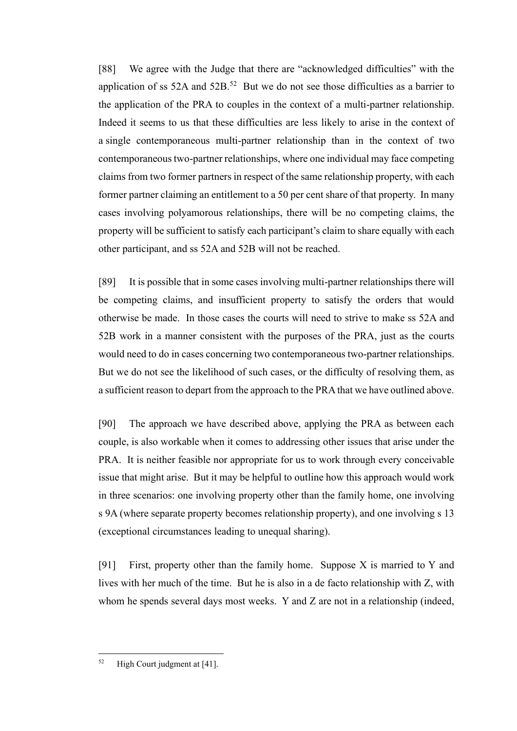[88] We agree with the Judge that there are "acknowledged difficulties" with the application of ss 52A and  $52B$ .<sup>52</sup> But we do not see those difficulties as a barrier to the application of the PRA to couples in the context of a multi-partner relationship. Indeed it seems to us that these difficulties are less likely to arise in the context of a single contemporaneous multi-partner relationship than in the context of two contemporaneous two-partner relationships, where one individual may face competing claims from two former partners in respect of the same relationship property, with each former partner claiming an entitlement to a 50 per cent share of that property. In many cases involving polyamorous relationships, there will be no competing claims, the property will be sufficient to satisfy each participant's claim to share equally with each other participant, and ss 52A and 52B will not be reached.

[89] It is possible that in some cases involving multi-partner relationships there will be competing claims, and insufficient property to satisfy the orders that would otherwise be made. In those cases the courts will need to strive to make ss 52A and 52B work in a manner consistent with the purposes of the PRA, just as the courts would need to do in cases concerning two contemporaneous two-partner relationships. But we do not see the likelihood of such cases, or the difficulty of resolving them, as a sufficient reason to depart from the approach to the PRA that we have outlined above.

[90] The approach we have described above, applying the PRA as between each couple, is also workable when it comes to addressing other issues that arise under the PRA. It is neither feasible nor appropriate for us to work through every conceivable issue that might arise. But it may be helpful to outline how this approach would work in three scenarios: one involving property other than the family home, one involving s 9A (where separate property becomes relationship property), and one involving s 13 (exceptional circumstances leading to unequal sharing).

[91] First, property other than the family home. Suppose  $X$  is married to  $Y$  and lives with her much of the time. But he is also in a de facto relationship with Z, with whom he spends several days most weeks. Y and Z are not in a relationship (indeed,

 $52$  High Court judgment at [41].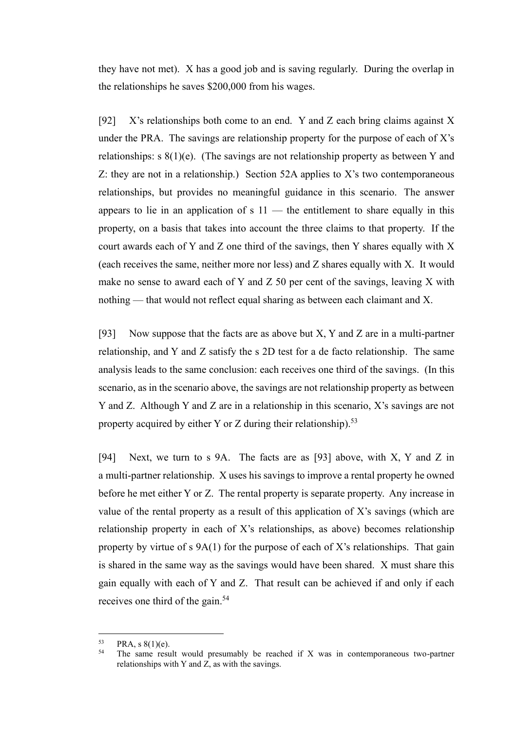they have not met). X has a good job and is saving regularly. During the overlap in the relationships he saves \$200,000 from his wages.

[92] X's relationships both come to an end. Y and Z each bring claims against X under the PRA. The savings are relationship property for the purpose of each of  $X$ 's relationships: s 8(1)(e). (The savings are not relationship property as between Y and Z: they are not in a relationship.) Section 52A applies to X's two contemporaneous relationships, but provides no meaningful guidance in this scenario. The answer appears to lie in an application of  $s$  11 — the entitlement to share equally in this property, on a basis that takes into account the three claims to that property. If the court awards each of Y and Z one third of the savings, then Y shares equally with X (each receives the same, neither more nor less) and Z shares equally with X. It would make no sense to award each of Y and Z 50 per cent of the savings, leaving X with nothing — that would not reflect equal sharing as between each claimant and X.

<span id="page-30-0"></span>[93] Now suppose that the facts are as above but  $X$ ,  $Y$  and  $Z$  are in a multi-partner relationship, and Y and Z satisfy the s 2D test for a de facto relationship. The same analysis leads to the same conclusion: each receives one third of the savings. (In this scenario, as in the scenario above, the savings are not relationship property as between Y and Z. Although Y and Z are in a relationship in this scenario, X's savings are not property acquired by either Y or Z during their relationship).<sup>53</sup>

[94] Next, we turn to s 9A. The facts are as [\[93\]](#page-30-0) above, with X, Y and Z in a multi-partner relationship. X uses his savings to improve a rental property he owned before he met either Y or Z. The rental property is separate property. Any increase in value of the rental property as a result of this application of X's savings (which are relationship property in each of X's relationships, as above) becomes relationship property by virtue of  $s$  9A(1) for the purpose of each of X's relationships. That gain is shared in the same way as the savings would have been shared. X must share this gain equally with each of Y and Z. That result can be achieved if and only if each receives one third of the gain.<sup>54</sup>

 $^{53}$  PRA, s  $8(1)(e)$ .<br> $^{54}$  The same result

The same result would presumably be reached if  $X$  was in contemporaneous two-partner relationships with Y and  $\overline{Z}$ , as with the savings.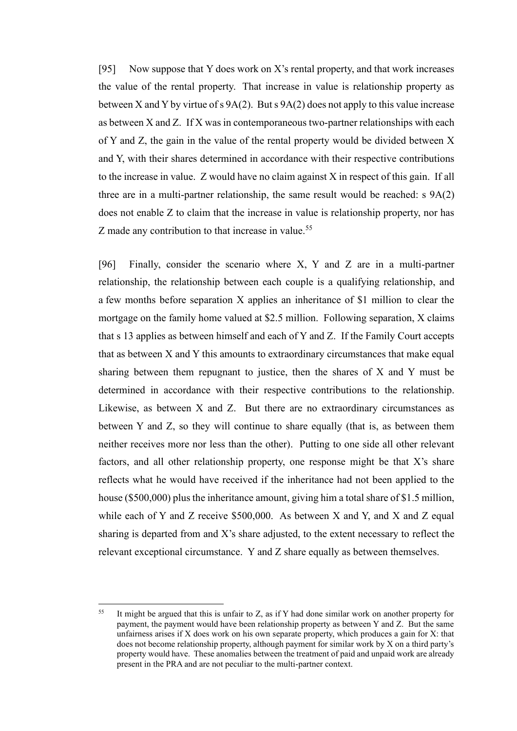[95] Now suppose that Y does work on X's rental property, and that work increases the value of the rental property. That increase in value is relationship property as between X and Y by virtue of s  $9A(2)$ . But s  $9A(2)$  does not apply to this value increase as between X and Z. If X was in contemporaneous two-partner relationships with each of Y and Z, the gain in the value of the rental property would be divided between X and Y, with their shares determined in accordance with their respective contributions to the increase in value. Z would have no claim against X in respect of this gain. If all three are in a multi-partner relationship, the same result would be reached: s 9A(2) does not enable Z to claim that the increase in value is relationship property, nor has Z made any contribution to that increase in value.<sup>55</sup>

[96] Finally, consider the scenario where X, Y and Z are in a multi-partner relationship, the relationship between each couple is a qualifying relationship, and a few months before separation X applies an inheritance of \$1 million to clear the mortgage on the family home valued at \$2.5 million. Following separation, X claims that s 13 applies as between himself and each of Y and Z. If the Family Court accepts that as between X and Y this amounts to extraordinary circumstances that make equal sharing between them repugnant to justice, then the shares of X and Y must be determined in accordance with their respective contributions to the relationship. Likewise, as between X and Z. But there are no extraordinary circumstances as between Y and Z, so they will continue to share equally (that is, as between them neither receives more nor less than the other). Putting to one side all other relevant factors, and all other relationship property, one response might be that X's share reflects what he would have received if the inheritance had not been applied to the house (\$500,000) plus the inheritance amount, giving him a total share of \$1.5 million, while each of Y and Z receive \$500,000. As between X and Y, and X and Z equal sharing is departed from and X's share adjusted, to the extent necessary to reflect the relevant exceptional circumstance. Y and Z share equally as between themselves.

<sup>&</sup>lt;sup>55</sup> It might be argued that this is unfair to Z, as if Y had done similar work on another property for payment, the payment would have been relationship property as between Y and Z. But the same unfairness arises if X does work on his own separate property, which produces a gain for X: that does not become relationship property, although payment for similar work by X on a third party's property would have. These anomalies between the treatment of paid and unpaid work are already present in the PRA and are not peculiar to the multi-partner context.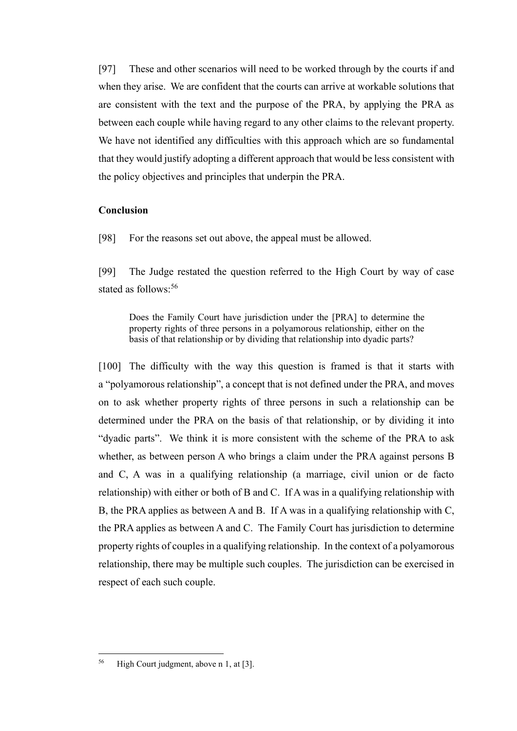[97] These and other scenarios will need to be worked through by the courts if and when they arise. We are confident that the courts can arrive at workable solutions that are consistent with the text and the purpose of the PRA, by applying the PRA as between each couple while having regard to any other claims to the relevant property. We have not identified any difficulties with this approach which are so fundamental that they would justify adopting a different approach that would be less consistent with the policy objectives and principles that underpin the PRA.

#### <span id="page-32-0"></span>**Conclusion**

[98] For the reasons set out above, the appeal must be allowed.

[99] The Judge restated the question referred to the High Court by way of case stated as follows:<sup>56</sup>

Does the Family Court have jurisdiction under the [PRA] to determine the property rights of three persons in a polyamorous relationship, either on the basis of that relationship or by dividing that relationship into dyadic parts?

[100] The difficulty with the way this question is framed is that it starts with a "polyamorous relationship", a concept that is not defined under the PRA, and moves on to ask whether property rights of three persons in such a relationship can be determined under the PRA on the basis of that relationship, or by dividing it into "dyadic parts". We think it is more consistent with the scheme of the PRA to ask whether, as between person A who brings a claim under the PRA against persons B and C, A was in a qualifying relationship (a marriage, civil union or de facto relationship) with either or both of B and C. If A was in a qualifying relationship with B, the PRA applies as between A and B. If A was in a qualifying relationship with C, the PRA applies as between A and C. The Family Court has jurisdiction to determine property rights of couples in a qualifying relationship. In the context of a polyamorous relationship, there may be multiple such couples. The jurisdiction can be exercised in respect of each such couple.

<sup>56</sup> High Court judgment, above n [1,](#page-5-1) at [3].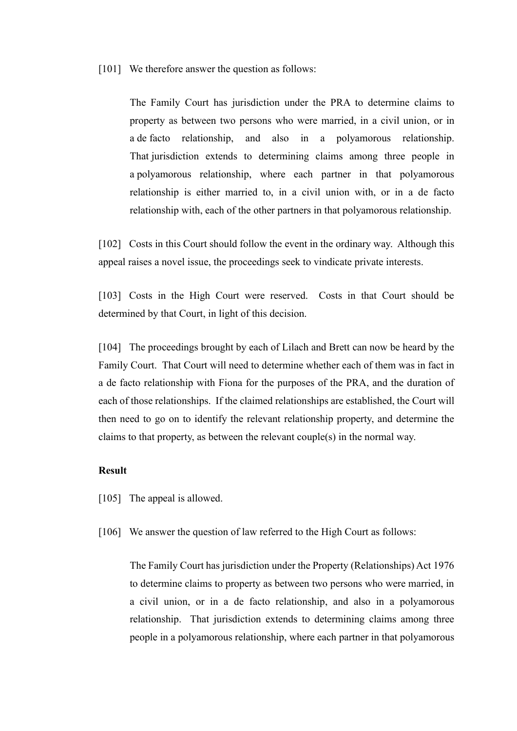[101] We therefore answer the question as follows:

The Family Court has jurisdiction under the PRA to determine claims to property as between two persons who were married, in a civil union, or in a de facto relationship, and also in a polyamorous relationship. That jurisdiction extends to determining claims among three people in a polyamorous relationship, where each partner in that polyamorous relationship is either married to, in a civil union with, or in a de facto relationship with, each of the other partners in that polyamorous relationship.

[102] Costs in this Court should follow the event in the ordinary way. Although this appeal raises a novel issue, the proceedings seek to vindicate private interests.

[103] Costs in the High Court were reserved. Costs in that Court should be determined by that Court, in light of this decision.

[104] The proceedings brought by each of Lilach and Brett can now be heard by the Family Court. That Court will need to determine whether each of them was in fact in a de facto relationship with Fiona for the purposes of the PRA, and the duration of each of those relationships. If the claimed relationships are established, the Court will then need to go on to identify the relevant relationship property, and determine the claims to that property, as between the relevant couple(s) in the normal way.

#### <span id="page-33-0"></span>**Result**

- [105] The appeal is allowed.
- [106] We answer the question of law referred to the High Court as follows:

The Family Court has jurisdiction under the Property (Relationships) Act 1976 to determine claims to property as between two persons who were married, in a civil union, or in a de facto relationship, and also in a polyamorous relationship. That jurisdiction extends to determining claims among three people in a polyamorous relationship, where each partner in that polyamorous